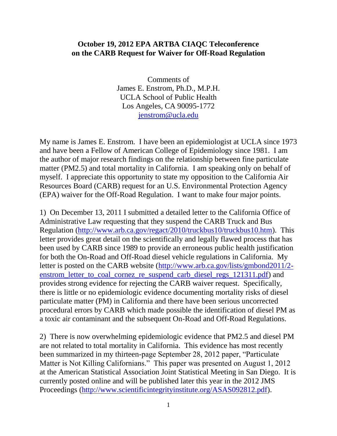## **October 19, 2012 EPA ARTBA CIAQC Teleconference on the CARB Request for Waiver for Off-Road Regulation**

Comments of James E. Enstrom, Ph.D., M.P.H. UCLA School of Public Health Los Angeles, CA 90095-1772 [jenstrom@ucla.edu](mailto:jenstrom@ucla.edu)

My name is James E. Enstrom. I have been an epidemiologist at UCLA since 1973 and have been a Fellow of American College of Epidemiology since 1981. I am the author of major research findings on the relationship between fine particulate matter (PM2.5) and total mortality in California. I am speaking only on behalf of myself. I appreciate this opportunity to state my opposition to the California Air Resources Board (CARB) request for an U.S. Environmental Protection Agency (EPA) waiver for the Off-Road Regulation. I want to make four major points.

1) On December 13, 2011 I submitted a detailed letter to the California Office of Administrative Law requesting that they suspend the CARB Truck and Bus Regulation [\(http://www.arb.ca.gov/regact/2010/truckbus10/truckbus10.htm\)](http://www.arb.ca.gov/regact/2010/truckbus10/truckbus10.htm). This letter provides great detail on the scientifically and legally flawed process that has been used by CARB since 1989 to provide an erroneous public health justification for both the On-Road and Off-Road diesel vehicle regulations in California. My letter is posted on the CARB website [\(http://www.arb.ca.gov/lists/gmbond2011/2](http://www.arb.ca.gov/lists/gmbond2011/2-enstrom_letter_to_coal_cornez_re_suspend_carb_diesel_regs_121311.pdf) [enstrom\\_letter\\_to\\_coal\\_cornez\\_re\\_suspend\\_carb\\_diesel\\_regs\\_121311.pdf\)](http://www.arb.ca.gov/lists/gmbond2011/2-enstrom_letter_to_coal_cornez_re_suspend_carb_diesel_regs_121311.pdf) and provides strong evidence for rejecting the CARB waiver request. Specifically, there is little or no epidemiologic evidence documenting mortality risks of diesel particulate matter (PM) in California and there have been serious uncorrected procedural errors by CARB which made possible the identification of diesel PM as a toxic air contaminant and the subsequent On-Road and Off-Road Regulations.

2) There is now overwhelming epidemiologic evidence that PM2.5 and diesel PM are not related to total mortality in California. This evidence has most recently been summarized in my thirteen-page September 28, 2012 paper, "Particulate Matter is Not Killing Californians." This paper was presented on August 1, 2012 at the American Statistical Association Joint Statistical Meeting in San Diego. It is currently posted online and will be published later this year in the 2012 JMS Proceedings [\(http://www.scientificintegrityinstitute.org/ASAS092812.pdf\)](http://www.scientificintegrityinstitute.org/ASAS092812.pdf).